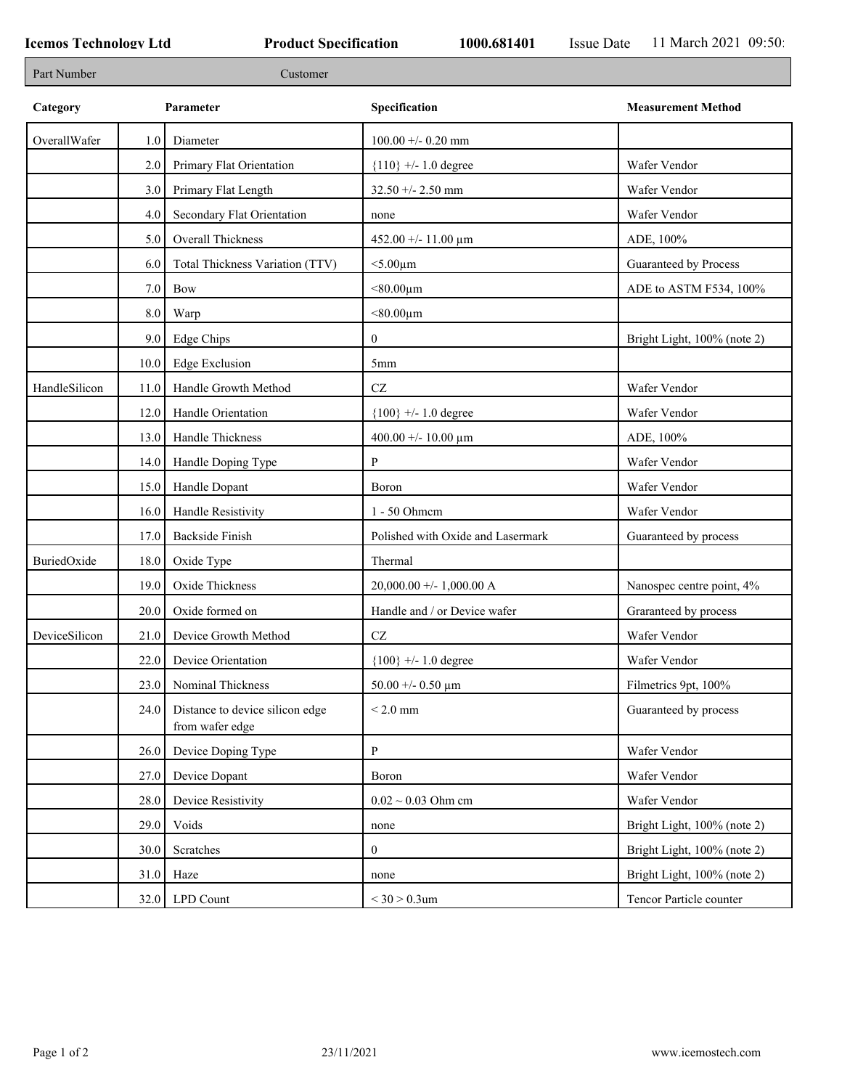r

| Part Number   |      | Customer                                           |                                   |                             |
|---------------|------|----------------------------------------------------|-----------------------------------|-----------------------------|
| Category      |      | Parameter                                          | Specification                     | <b>Measurement Method</b>   |
| OverallWafer  | 1.0  | Diameter                                           | $100.00 +/- 0.20$ mm              |                             |
|               | 2.0  | Primary Flat Orientation                           | ${110}$ +/- 1.0 degree            | Wafer Vendor                |
|               | 3.0  | Primary Flat Length                                | $32.50 + - 2.50$ mm               | Wafer Vendor                |
|               | 4.0  | Secondary Flat Orientation                         | none                              | Wafer Vendor                |
|               | 5.0  | Overall Thickness                                  | 452.00 +/- 11.00 $\mu$ m          | ADE, 100%                   |
|               | 6.0  | Total Thickness Variation (TTV)                    | $<$ 5.00 $\mu$ m                  | Guaranteed by Process       |
|               | 7.0  | Bow                                                | $< 80.00 \mu m$                   | ADE to ASTM F534, 100%      |
|               | 8.0  | Warp                                               | $< 80.00 \mu m$                   |                             |
|               | 9.0  | Edge Chips                                         | $\overline{0}$                    | Bright Light, 100% (note 2) |
|               | 10.0 | <b>Edge Exclusion</b>                              | 5 <sub>mm</sub>                   |                             |
| HandleSilicon | 11.0 | Handle Growth Method                               | $\operatorname{CZ}$               | Wafer Vendor                |
|               | 12.0 | Handle Orientation                                 | ${100}$ +/- 1.0 degree            | Wafer Vendor                |
|               | 13.0 | Handle Thickness                                   | 400.00 +/- 10.00 $\mu$ m          | ADE, 100%                   |
|               | 14.0 | Handle Doping Type                                 | P                                 | Wafer Vendor                |
|               | 15.0 | Handle Dopant                                      | Boron                             | Wafer Vendor                |
|               | 16.0 | Handle Resistivity                                 | 1 - 50 Ohmem                      | Wafer Vendor                |
|               | 17.0 | <b>Backside Finish</b>                             | Polished with Oxide and Lasermark | Guaranteed by process       |
| BuriedOxide   | 18.0 | Oxide Type                                         | Thermal                           |                             |
|               | 19.0 | Oxide Thickness                                    | $20,000.00 +/- 1,000.00 A$        | Nanospec centre point, 4%   |
|               | 20.0 | Oxide formed on                                    | Handle and / or Device wafer      | Graranteed by process       |
| DeviceSilicon | 21.0 | Device Growth Method                               | CZ                                | Wafer Vendor                |
|               | 22.0 | Device Orientation                                 | ${100}$ +/- 1.0 degree            | Wafer Vendor                |
|               | 23.0 | Nominal Thickness                                  | 50.00 +/- 0.50 $\mu$ m            | Filmetrics 9pt, 100%        |
|               | 24.0 | Distance to device silicon edge<br>from wafer edge | $< 2.0 \mathrm{~mm}$              | Guaranteed by process       |
|               | 26.0 | Device Doping Type                                 | P                                 | Wafer Vendor                |
|               | 27.0 | Device Dopant                                      | Boron                             | Wafer Vendor                |
|               | 28.0 | Device Resistivity                                 | $0.02 \sim 0.03$ Ohm cm           | Wafer Vendor                |
|               | 29.0 | Voids                                              | none                              | Bright Light, 100% (note 2) |
|               | 30.0 | Scratches                                          | $\boldsymbol{0}$                  | Bright Light, 100% (note 2) |
|               | 31.0 | Haze                                               | none                              | Bright Light, 100% (note 2) |
|               |      | $32.0$ LPD Count                                   | $<$ 30 $>$ 0.3um                  | Tencor Particle counter     |